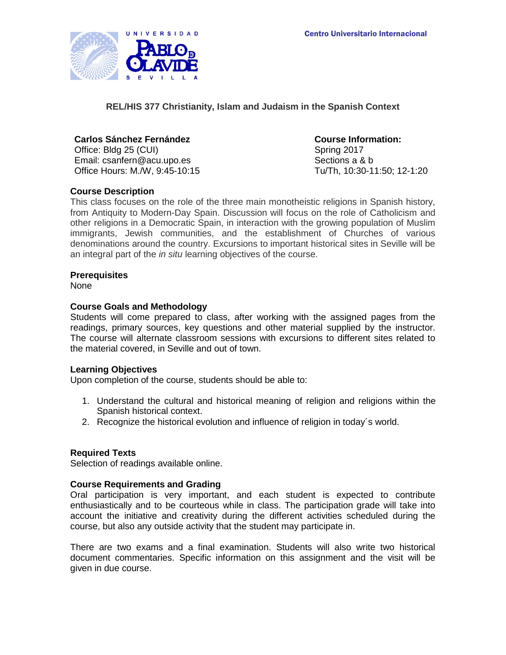

**REL/HIS 377 Christianity, Islam and Judaism in the Spanish Context**

# **Carlos Sánchez Fernández Course Information:**

Office: Bldg 25 (CUI) Spring 2017 Email: csanfern@acu.upo.es Sections a & b Office Hours: M./W, 9:45-10:15 Tu/Th, 10:30-11:50; 12-1:20

# **Course Description**

This class focuses on the role of the three main monotheistic religions in Spanish history, from Antiquity to Modern-Day Spain. Discussion will focus on the role of Catholicism and other religions in a Democratic Spain, in interaction with the growing population of Muslim immigrants, Jewish communities, and the establishment of Churches of various denominations around the country. Excursions to important historical sites in Seville will be an integral part of the *in situ* learning objectives of the course.

## **Prerequisites**

None

## **Course Goals and Methodology**

Students will come prepared to class, after working with the assigned pages from the readings, primary sources, key questions and other material supplied by the instructor. The course will alternate classroom sessions with excursions to different sites related to the material covered, in Seville and out of town.

#### **Learning Objectives**

Upon completion of the course, students should be able to:

- 1. Understand the cultural and historical meaning of religion and religions within the Spanish historical context.
- 2. Recognize the historical evolution and influence of religion in today´s world.

#### **Required Texts**

Selection of readings available online.

#### **Course Requirements and Grading**

Oral participation is very important, and each student is expected to contribute enthusiastically and to be courteous while in class. The participation grade will take into account the initiative and creativity during the different activities scheduled during the course, but also any outside activity that the student may participate in.

There are two exams and a final examination. Students will also write two historical document commentaries. Specific information on this assignment and the visit will be given in due course.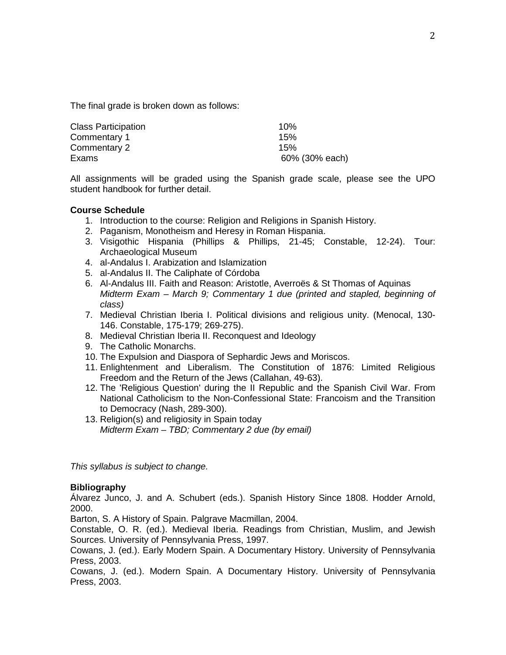The final grade is broken down as follows:

| <b>Class Participation</b> | 10%            |
|----------------------------|----------------|
| Commentary 1               | 15%            |
| Commentary 2               | 15%            |
| Exams                      | 60% (30% each) |

All assignments will be graded using the Spanish grade scale, please see the UPO student handbook for further detail.

#### **Course Schedule**

- 1. Introduction to the course: Religion and Religions in Spanish History.
- 2. Paganism, Monotheism and Heresy in Roman Hispania.
- 3. Visigothic Hispania (Phillips & Phillips, 21-45; Constable, 12-24). Tour: Archaeological Museum
- 4. al-Andalus I. Arabization and Islamization
- 5. al-Andalus II. The Caliphate of Córdoba
- 6. Al-Andalus III. Faith and Reason: Aristotle, Averroës & St Thomas of Aquinas *Midterm Exam – March 9; Commentary 1 due (printed and stapled, beginning of class)*
- 7. Medieval Christian Iberia I. Political divisions and religious unity. (Menocal, 130- 146. Constable, 175-179; 269-275).
- 8. Medieval Christian Iberia II. Reconquest and Ideology
- 9. The Catholic Monarchs.
- 10. The Expulsion and Diaspora of Sephardic Jews and Moriscos.
- 11. Enlightenment and Liberalism. The Constitution of 1876: Limited Religious Freedom and the Return of the Jews (Callahan, 49-63).
- 12. The 'Religious Question' during the II Republic and the Spanish Civil War. From National Catholicism to the Non-Confessional State: Francoism and the Transition to Democracy (Nash, 289-300).
- 13. Religion(s) and religiosity in Spain today *Midterm Exam – TBD; Commentary 2 due (by email)*

*This syllabus is subject to change.*

#### **Bibliography**

Álvarez Junco, J. and A. Schubert (eds.). Spanish History Since 1808. Hodder Arnold, 2000.

Barton, S. A History of Spain. Palgrave Macmillan, 2004.

Constable, O. R. (ed.). Medieval Iberia. Readings from Christian, Muslim, and Jewish Sources. University of Pennsylvania Press, 1997.

Cowans, J. (ed.). Early Modern Spain. A Documentary History. University of Pennsylvania Press, 2003.

Cowans, J. (ed.). Modern Spain. A Documentary History. University of Pennsylvania Press, 2003.